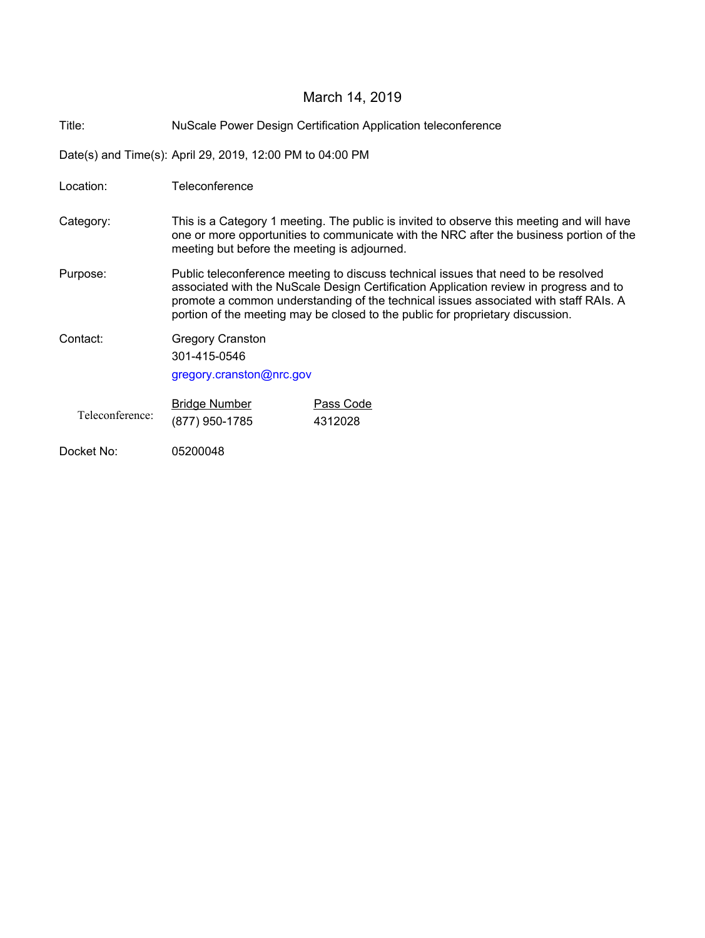# March 14, 2019

Title: NuScale Power Design Certification Application teleconference

Date(s) and Time(s): April 29, 2019, 12:00 PM to 04:00 PM

| Location:       | Teleconference                                                                                                                                                                                                                                                                                                                                         |                      |
|-----------------|--------------------------------------------------------------------------------------------------------------------------------------------------------------------------------------------------------------------------------------------------------------------------------------------------------------------------------------------------------|----------------------|
| Category:       | This is a Category 1 meeting. The public is invited to observe this meeting and will have<br>one or more opportunities to communicate with the NRC after the business portion of the<br>meeting but before the meeting is adjourned.                                                                                                                   |                      |
| Purpose:        | Public teleconference meeting to discuss technical issues that need to be resolved<br>associated with the NuScale Design Certification Application review in progress and to<br>promote a common understanding of the technical issues associated with staff RAIs. A<br>portion of the meeting may be closed to the public for proprietary discussion. |                      |
| Contact:        | <b>Gregory Cranston</b><br>301-415-0546<br>gregory.cranston@nrc.gov                                                                                                                                                                                                                                                                                    |                      |
| Teleconference: | <b>Bridge Number</b><br>(877) 950-1785                                                                                                                                                                                                                                                                                                                 | Pass Code<br>4312028 |
| Docket No:      | 05200048                                                                                                                                                                                                                                                                                                                                               |                      |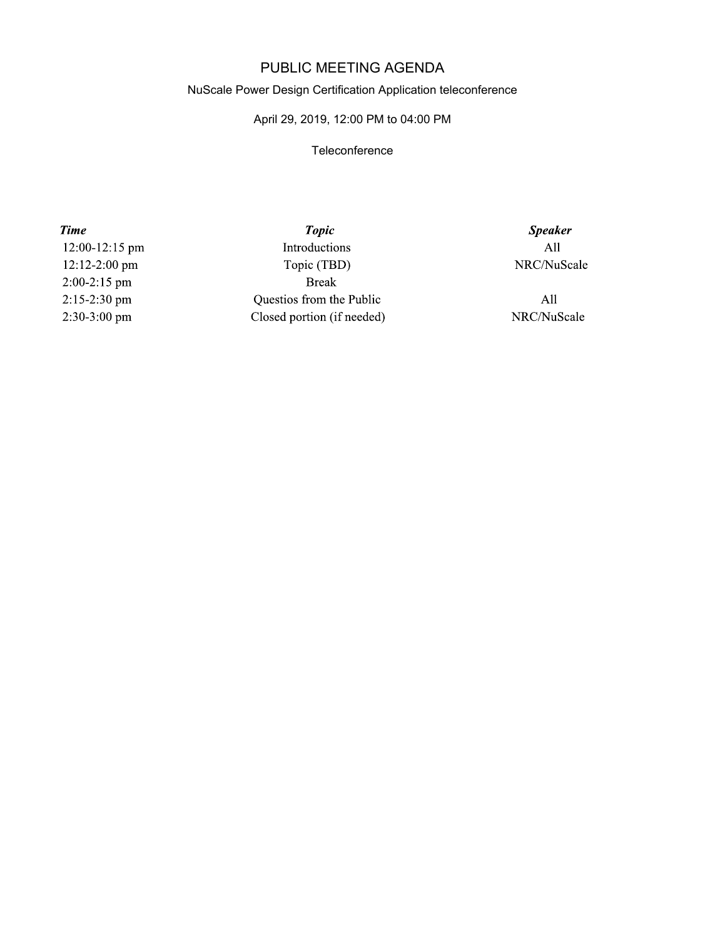## PUBLIC MEETING AGENDA

#### NuScale Power Design Certification Application teleconference

### April 29, 2019, 12:00 PM to 04:00 PM

#### **Teleconference**

**Time** 12:00-12:15 pm 12:12-2:00 pm  $2:00-2:15$  pm 2:15-2:30 pm 2:30-3:00 pm

**Topic** Introductions Topic (TBD) **Break** Questios from the Public Closed portion (if needed)

**Speaker**  $All$ NRC/NuScale

 $All$ NRC/NuScale